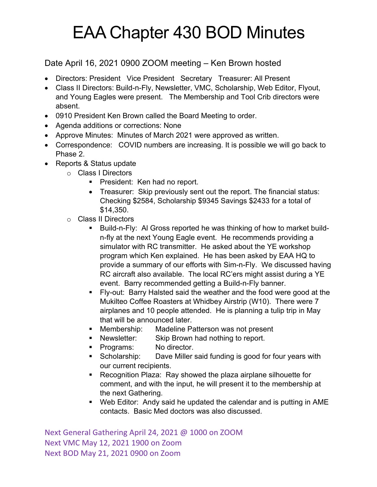## EAA Chapter 430 BOD Minutes

## Date April 16, 2021 0900 ZOOM meeting – Ken Brown hosted

- Directors: President Vice President Secretary Treasurer: All Present
- Class II Directors: Build-n-Fly, Newsletter, VMC, Scholarship, Web Editor, Flyout, and Young Eagles were present. The Membership and Tool Crib directors were absent.
- 0910 President Ken Brown called the Board Meeting to order.
- Agenda additions or corrections: None
- Approve Minutes: Minutes of March 2021 were approved as written.
- Correspondence: COVID numbers are increasing. It is possible we will go back to Phase 2.
- Reports & Status update
	- o Class I Directors
		- President: Ken had no report.
		- Treasurer: Skip previously sent out the report. The financial status: Checking \$2584, Scholarship \$9345 Savings \$2433 for a total of \$14,350.
	- o Class II Directors
		- § Build-n-Fly: Al Gross reported he was thinking of how to market buildn-fly at the next Young Eagle event. He recommends providing a simulator with RC transmitter. He asked about the YE workshop program which Ken explained. He has been asked by EAA HQ to provide a summary of our efforts with Sim-n-Fly. We discussed having RC aircraft also available. The local RC'ers might assist during a YE event. Barry recommended getting a Build-n-Fly banner.
		- § Fly-out: Barry Halsted said the weather and the food were good at the Mukilteo Coffee Roasters at Whidbey Airstrip (W10). There were 7 airplanes and 10 people attended. He is planning a tulip trip in May that will be announced later.
		- Membership: Madeline Patterson was not present
		- Newsletter: Skip Brown had nothing to report.
		- Programs: No director.
		- Scholarship: Dave Miller said funding is good for four years with our current recipients.
		- Recognition Plaza: Ray showed the plaza airplane silhouette for comment, and with the input, he will present it to the membership at the next Gathering.
		- Web Editor: Andy said he updated the calendar and is putting in AME contacts. Basic Med doctors was also discussed.

Next General Gathering April 24, 2021 @ 1000 on ZOOM Next VMC May 12, 2021 1900 on Zoom Next BOD May 21, 2021 0900 on Zoom